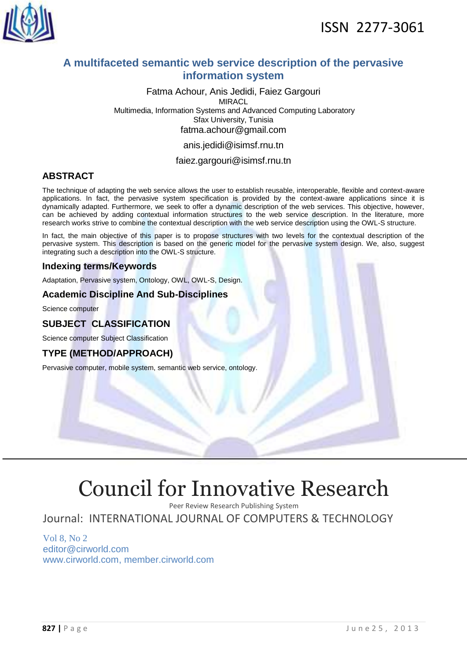

# **A multifaceted semantic web service description of the pervasive information system**

Fatma Achour, Anis Jedidi, Faiez Gargouri MIRACL Multimedia, Information Systems and Advanced Computing Laboratory Sfax University, Tunisia [fatma.achour@gmail.com](mailto:fatma.achour@gmail.com)

[anis.jedidi@isimsf.rnu.tn](mailto:anis.jedidi@isimsf.rnu.tn)

[faiez.gargouri@isimsf.rnu.tn](mailto:faiez.gargouri@isimsf.rnu.tn)

# **ABSTRACT**

The technique of adapting the web service allows the user to establish reusable, interoperable, flexible and context-aware applications. In fact, the pervasive system specification is provided by the context-aware applications since it is dynamically adapted. Furthermore, we seek to offer a dynamic description of the web services. This objective, however, can be achieved by adding contextual information structures to the web service description. In the literature, more research works strive to combine the contextual description with the web service description using the OWL-S structure.

In fact, the main objective of this paper is to propose structures with two levels for the contextual description of the pervasive system. This description is based on the generic model for the pervasive system design. We, also, suggest integrating such a description into the OWL-S structure.

#### **Indexing terms/Keywords**

Adaptation, Pervasive system, Ontology, OWL, OWL-S, Design.

#### **Academic Discipline And Sub-Disciplines**

Science computer

### **SUBJECT CLASSIFICATION**

Science computer Subject Classification

#### **TYPE (METHOD/APPROACH)**

Pervasive computer, mobile system, semantic web service, ontology.

# [Council for Innovative Research](http://member.cirworld.com/)

Peer Review Research Publishing System

# Journal: INTERNATIONAL JOURNAL OF COMPUTERS & TECHNOLOGY

Vol 8, No 2 editor@cirworld.com [www.cirworld.com, me](http://www.cirworld.com/)mber.cirworld.com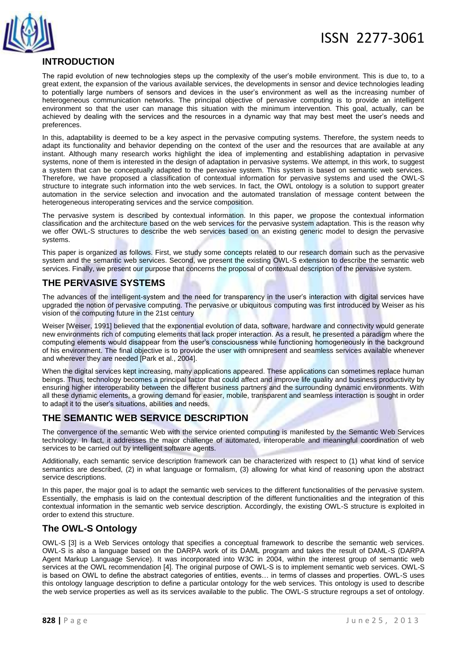



# **INTRODUCTION**

The rapid evolution of new technologies steps up the complexity of the user's mobile environment. This is due to, to a great extent, the expansion of the various available services, the developments in sensor and device technologies leading to potentially large numbers of sensors and devices in the user's environment as well as the increasing number of heterogeneous communication networks. The principal objective of pervasive computing is to provide an intelligent environment so that the user can manage this situation with the minimum intervention. This goal, actually, can be achieved by dealing with the services and the resources in a dynamic way that may best meet the user's needs and preferences.

In this, adaptability is deemed to be a key aspect in the pervasive computing systems. Therefore, the system needs to adapt its functionality and behavior depending on the context of the user and the resources that are available at any instant. Although many research works highlight the idea of implementing and establishing adaptation in pervasive systems, none of them is interested in the design of adaptation in pervasive systems. We attempt, in this work, to suggest a system that can be conceptually adapted to the pervasive system. This system is based on semantic web services. Therefore, we have proposed a classification of contextual information for pervasive systems and used the OWL-S structure to integrate such information into the web services. In fact, the OWL ontology is a solution to support greater automation in the service selection and invocation and the automated translation of message content between the heterogeneous interoperating services and the service composition.

The pervasive system is described by contextual information. In this paper, we propose the contextual information classification and the architecture based on the web services for the pervasive system adaptation. This is the reason why we offer OWL-S structures to describe the web services based on an existing generic model to design the pervasive systems.

This paper is organized as follows. First, we study some concepts related to our research domain such as the pervasive system and the semantic web services. Second, we present the existing OWL-S extension to describe the semantic web services. Finally, we present our purpose that concerns the proposal of contextual description of the pervasive system.

#### **THE PERVASIVE SYSTEMS**

The advances of the intelligent-system and the need for transparency in the user's interaction with digital services have upgraded the notion of pervasive computing. The pervasive or ubiquitous computing was first introduced by Weiser as his vision of the computing future in the 21st century

Weiser [Weiser, 1991] believed that the exponential evolution of data, software, hardware and connectivity would generate new environments rich of computing elements that lack proper interaction. As a result, he presented a paradigm where the computing elements would disappear from the user's consciousness while functioning homogeneously in the background of his environment. The final objective is to provide the user with omnipresent and seamless services available whenever and wherever they are needed [Park et al., 2004].

When the digital services kept increasing, many applications appeared. These applications can sometimes replace human beings. Thus, technology becomes a principal factor that could affect and improve life quality and business productivity by ensuring higher interoperability between the different business partners and the surrounding dynamic environments. With all these dynamic elements, a growing demand for easier, mobile, transparent and seamless interaction is sought in order to adapt it to the user's situations, abilities and needs.

### **THE SEMANTIC WEB SERVICE DESCRIPTION**

The convergence of the semantic Web with the service oriented computing is manifested by the Semantic Web Services technology. In fact, it addresses the major challenge of automated, interoperable and meaningful coordination of web services to be carried out by intelligent software agents.

Additionally, each semantic service description framework can be characterized with respect to (1) what kind of service semantics are described, (2) in what language or formalism, (3) allowing for what kind of reasoning upon the abstract service descriptions.

In this paper, the major goal is to adapt the semantic web services to the different functionalities of the pervasive system. Essentially, the emphasis is laid on the contextual description of the different functionalities and the integration of this contextual information in the semantic web service description. Accordingly, the existing OWL-S structure is exploited in order to extend this structure.

#### **The OWL-S Ontology**

OWL-S [3] is a Web Services ontology that specifies a conceptual framework to describe the semantic web services. OWL-S is also a language based on the DARPA work of its DAML program and takes the result of DAML-S (DARPA Agent Markup Language Service). It was incorporated into W3C in 2004, within the interest group of semantic web services at the OWL recommendation [4]. The original purpose of OWL-S is to implement semantic web services. OWL-S is based on OWL to define the abstract categories of entities, events… in terms of classes and properties. OWL-S uses this ontology language description to define a particular ontology for the web services. This ontology is used to describe the web service properties as well as its services available to the public. The OWL-S structure regroups a set of ontology.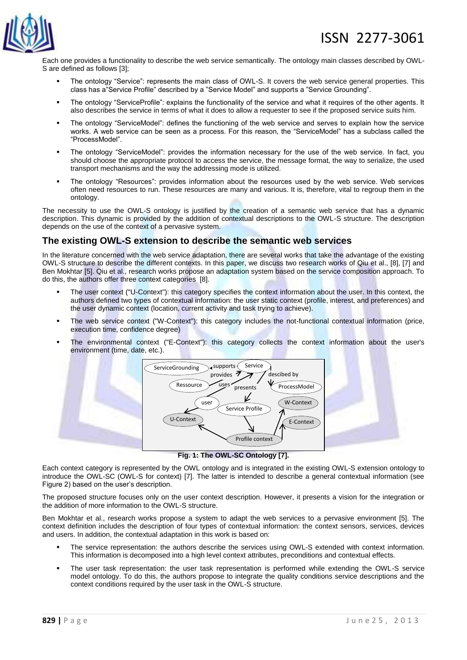



Each one provides a functionality to describe the web service semantically. The ontology main classes described by OWL-S are defined as follows [3];

- The ontology "Service": represents the main class of OWL-S. It covers the web service general properties. This class has a"Service Profile" described by a "Service Model" and supports a "Service Grounding".
- The ontology "ServiceProfile": explains the functionality of the service and what it requires of the other agents. It also describes the service in terms of what it does to allow a requester to see if the proposed service suits him.
- The ontology "ServiceModel": defines the functioning of the web service and serves to explain how the service works. A web service can be seen as a process. For this reason, the "ServiceModel" has a subclass called the "ProcessModel".
- The ontology "ServiceModel": provides the information necessary for the use of the web service. In fact, you should choose the appropriate protocol to access the service, the message format, the way to serialize, the used transport mechanisms and the way the addressing mode is utilized.
- The ontology "Resources": provides information about the resources used by the web service. Web services often need resources to run. These resources are many and various. It is, therefore, vital to regroup them in the ontology.

The necessity to use the OWL-S ontology is justified by the creation of a semantic web service that has a dynamic description. This dynamic is provided by the addition of contextual descriptions to the OWL-S structure. The description depends on the use of the context of a pervasive system.

#### **The existing OWL-S extension to describe the semantic web services**

In the literature concerned with the web service adaptation, there are several works that take the advantage of the existing OWL-S structure to describe the different contexts. In this paper, we discuss two research works of Qiu et al., [8], [7] and Ben Mokhtar [5]. Qiu et al., research works propose an adaptation system based on the service composition approach. To do this, the authors offer three context categories [8].

- The user context ("U-Context"): this category specifies the context information about the user. In this context, the authors defined two types of contextual information: the user static context (profile, interest, and preferences) and the user dynamic context (location, current activity and task trying to achieve).
- The web service context ("W-Context"): this category includes the not-functional contextual information (price, execution time, confidence degree)
- The environmental context ("E-Context"): this category collects the context information about the user's environment (time, date, etc.).



**Fig. 1: The OWL-SC Ontology [7].**

Each context category is represented by the OWL ontology and is integrated in the existing OWL-S extension ontology to introduce the OWL-SC (OWL-S for context) [7]. The latter is intended to describe a general contextual information (see Figure 2) based on the user's description.

The proposed structure focuses only on the user context description. However, it presents a vision for the integration or the addition of more information to the OWL-S structure.

Ben Mokhtar et al., research works propose a system to adapt the web services to a pervasive environment [5]. The context definition includes the description of four types of contextual information: the context sensors, services, devices and users. In addition, the contextual adaptation in this work is based on:

- The service representation: the authors describe the services using OWL-S extended with context information. This information is decomposed into a high level context attributes, preconditions and contextual effects.
- The user task representation: the user task representation is performed while extending the OWL-S service model ontology. To do this, the authors propose to integrate the quality conditions service descriptions and the context conditions required by the user task in the OWL-S structure.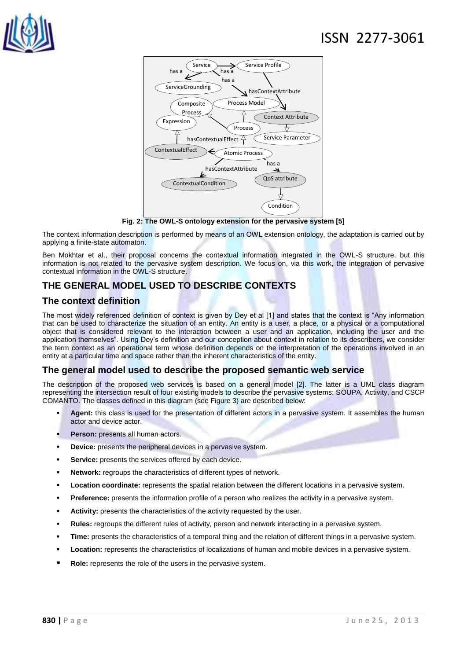

**Fig. 2: The OWL-S ontology extension for the pervasive system [5]**

The context information description is performed by means of an OWL extension ontology, the adaptation is carried out by applying a finite-state automaton.

Ben Mokhtar et al., their proposal concerns the contextual information integrated in the OWL-S structure, but this information is not related to the pervasive system description. We focus on, via this work, the integration of pervasive contextual information in the OWL-S structure.

# **THE GENERAL MODEL USED TO DESCRIBE CONTEXTS**

#### **The context definition**

The most widely referenced definition of context is given by Dey et al [1] and states that the context is "Any information that can be used to characterize the situation of an entity. An entity is a user, a place, or a physical or a computational object that is considered relevant to the interaction between a user and an application, including the user and the application themselves". Using Dey's definition and our conception about context in relation to its describers, we consider the term context as an operational term whose definition depends on the interpretation of the operations involved in an entity at a particular time and space rather than the inherent characteristics of the entity.

#### **The general model used to describe the proposed semantic web service**

The description of the proposed web services is based on a general model [2]. The latter is a UML class diagram representing the intersection result of four existing models to describe the pervasive systems: SOUPA, Activity, and CSCP COMANTO. The classes defined in this diagram (see Figure 3) are described below:

- **Agent:** this class is used for the presentation of different actors in a pervasive system. It assembles the human actor and device actor.
- **Person:** presents all human actors.
- **Device:** presents the peripheral devices in a pervasive system.
- **Service:** presents the services offered by each device.
- **Network:** regroups the characteristics of different types of network.
- **Location coordinate:** represents the spatial relation between the different locations in a pervasive system.
- **Preference:** presents the information profile of a person who realizes the activity in a pervasive system.
- **Activity:** presents the characteristics of the activity requested by the user.
- **Rules:** regroups the different rules of activity, person and network interacting in a pervasive system.
- **Time:** presents the characteristics of a temporal thing and the relation of different things in a pervasive system.
- **Location:** represents the characteristics of localizations of human and mobile devices in a pervasive system.
- **Role:** represents the role of the users in the pervasive system.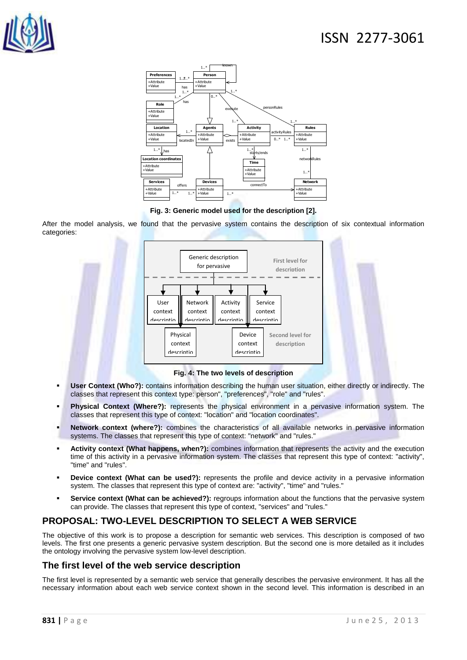





After the model analysis, we found that the pervasive system contains the description of six contextual information categories:



**Fig. 4: The two levels of description**

- **User Context (Who?):** contains information describing the human user situation, either directly or indirectly. The classes that represent this context type: person", "preferences", "role" and "rules".
- **Physical Context (Where?):** represents the physical environment in a pervasive information system. The classes that represent this type of context: "location" and "location coordinates".
- **Network context (where?):** combines the characteristics of all available networks in pervasive information systems. The classes that represent this type of context: "network" and "rules."
- **Activity context (What happens, when?):** combines information that represents the activity and the execution time of this activity in a pervasive information system. The classes that represent this type of context: "activity", "time" and "rules".
- **Device context (What can be used?):** represents the profile and device activity in a pervasive information system. The classes that represent this type of context are: "activity", "time" and "rules."
- **Service context (What can be achieved?):** regroups information about the functions that the pervasive system can provide. The classes that represent this type of context, "services" and "rules."

### **PROPOSAL: TWO-LEVEL DESCRIPTION TO SELECT A WEB SERVICE**

The objective of this work is to propose a description for semantic web services. This description is composed of two levels. The first one presents a generic pervasive system description. But the second one is more detailed as it includes the ontology involving the pervasive system low-level description.

#### **The first level of the web service description**

The first level is represented by a semantic web service that generally describes the pervasive environment. It has all the necessary information about each web service context shown in the second level. This information is described in an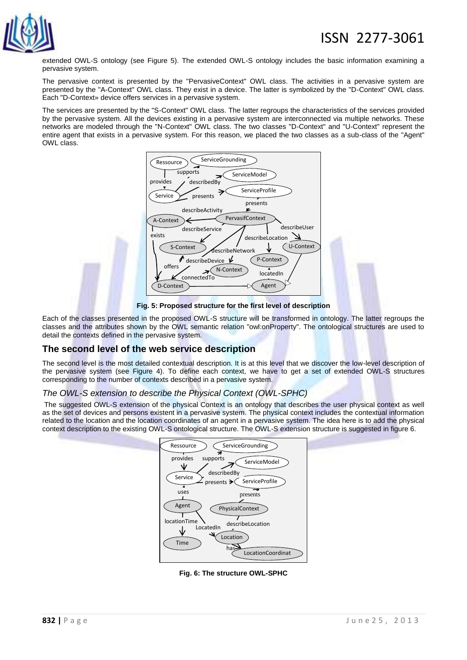



extended OWL-S ontology (see Figure 5). The extended OWL-S ontology includes the basic information examining a pervasive system.

The pervasive context is presented by the "PervasiveContext" OWL class. The activities in a pervasive system are presented by the "A-Context" OWL class. They exist in a device. The latter is symbolized by the "D-Context" OWL class. Each "D-Context» device offers services in a pervasive system.

The services are presented by the "S-Context" OWL class. The latter regroups the characteristics of the services provided by the pervasive system. All the devices existing in a pervasive system are interconnected via multiple networks. These networks are modeled through the "N-Context" OWL class. The two classes "D-Context" and "U-Context" represent the entire agent that exists in a pervasive system. For this reason, we placed the two classes as a sub-class of the "Agent" OWL class.



**Fig. 5: Proposed structure for the first level of description**

Each of the classes presented in the proposed OWL-S structure will be transformed in ontology. The latter regroups the classes and the attributes shown by the OWL semantic relation "owl:onProperty". The ontological structures are used to detail the contexts defined in the pervasive system.

#### **The second level of the web service description**

The second level is the most detailed contextual description. It is at this level that we discover the low-level description of the pervasive system (see Figure 4). To define each context, we have to get a set of extended OWL-S structures corresponding to the number of contexts described in a pervasive system.

#### *The OWL-S extension to describe the Physical Context (OWL-SPHC)*

The suggested OWL-S extension of the physical Context is an ontology that describes the user physical context as well as the set of devices and persons existent in a pervasive system. The physical context includes the contextual information related to the location and the location coordinates of an agent in a pervasive system. The idea here is to add the physical context description to the existing OWL-S ontological structure. The OWL-S extension structure is suggested in figure 6.



**Fig. 6: The structure OWL-SPHC**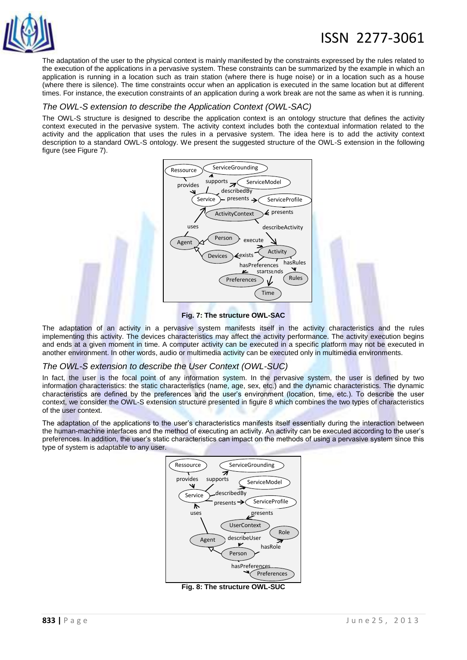

The adaptation of the user to the physical context is mainly manifested by the constraints expressed by the rules related to the execution of the applications in a pervasive system. These constraints can be summarized by the example in which an application is running in a location such as train station (where there is huge noise) or in a location such as a house (where there is silence). The time constraints occur when an application is executed in the same location but at different times. For instance, the execution constraints of an application during a work break are not the same as when it is running.

#### *The OWL-S extension to describe the Application Context (OWL-SAC)*

The OWL-S structure is designed to describe the application context is an ontology structure that defines the activity context executed in the pervasive system. The activity context includes both the contextual information related to the activity and the application that uses the rules in a pervasive system. The idea here is to add the activity context description to a standard OWL-S ontology. We present the suggested structure of the OWL-S extension in the following figure (see Figure 7).



**Fig. 7: The structure OWL-SAC**

The adaptation of an activity in a pervasive system manifests itself in the activity characteristics and the rules implementing this activity. The devices characteristics may affect the activity performance. The activity execution begins and ends at a given moment in time. A computer activity can be executed in a specific platform may not be executed in another environment. In other words, audio or multimedia activity can be executed only in multimedia environments.

#### *The OWL-S extension to describe the User Context (OWL-SUC)*

In fact, the user is the focal point of any information system. In the pervasive system, the user is defined by two information characteristics: the static characteristics (name, age, sex, etc.) and the dynamic characteristics. The dynamic characteristics are defined by the preferences and the user's environment (location, time, etc.). To describe the user context, we consider the OWL-S extension structure presented in figure 8 which combines the two types of characteristics of the user context.

The adaptation of the applications to the user's characteristics manifests itself essentially during the interaction between the human-machine interfaces and the method of executing an activity. An activity can be executed according to the user's preferences. In addition, the user's static characteristics can impact on the methods of using a pervasive system since this type of system is adaptable to any user.



**Fig. 8: The structure OWL-SUC**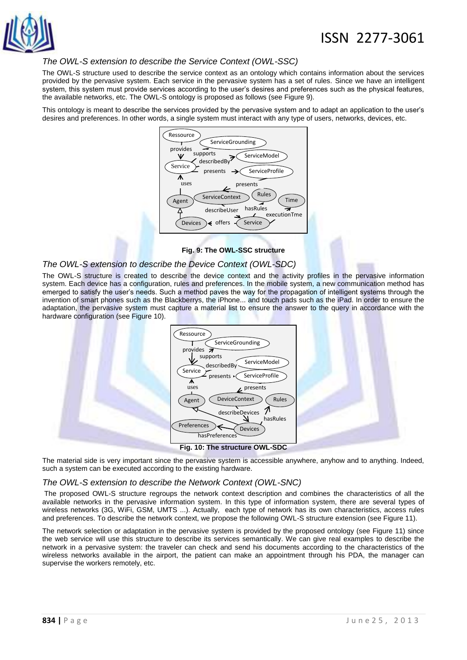

#### *The OWL-S extension to describe the Service Context (OWL-SSC)*

The OWL-S structure used to describe the service context as an ontology which contains information about the services provided by the pervasive system. Each service in the pervasive system has a set of rules. Since we have an intelligent system, this system must provide services according to the user's desires and preferences such as the physical features, the available networks, etc. The OWL-S ontology is proposed as follows (see Figure 9).

This ontology is meant to describe the services provided by the pervasive system and to adapt an application to the user's desires and preferences. In other words, a single system must interact with any type of users, networks, devices, etc.



**Fig. 9: The OWL-SSC structure**

#### *The OWL-S extension to describe the Device Context (OWL-SDC)*

The OWL-S structure is created to describe the device context and the activity profiles in the pervasive information system. Each device has a configuration, rules and preferences. In the mobile system, a new communication method has emerged to satisfy the user's needs. Such a method paves the way for the propagation of intelligent systems through the invention of smart phones such as the Blackberrys, the iPhone... and touch pads such as the iPad. In order to ensure the adaptation, the pervasive system must capture a material list to ensure the answer to the query in accordance with the hardware configuration (see Figure 10).



The material side is very important since the pervasive system is accessible anywhere, anyhow and to anything. Indeed, such a system can be executed according to the existing hardware.

#### *The OWL-S extension to describe the Network Context (OWL-SNC)*

The proposed OWL-S structure regroups the network context description and combines the characteristics of all the available networks in the pervasive information system. In this type of information system, there are several types of wireless networks (3G, WiFi, GSM, UMTS ...). Actually, each type of network has its own characteristics, access rules and preferences. To describe the network context, we propose the following OWL-S structure extension (see Figure 11).

The network selection or adaptation in the pervasive system is provided by the proposed ontology (see Figure 11) since the web service will use this structure to describe its services semantically. We can give real examples to describe the network in a pervasive system: the traveler can check and send his documents according to the characteristics of the wireless networks available in the airport, the patient can make an appointment through his PDA, the manager can supervise the workers remotely, etc.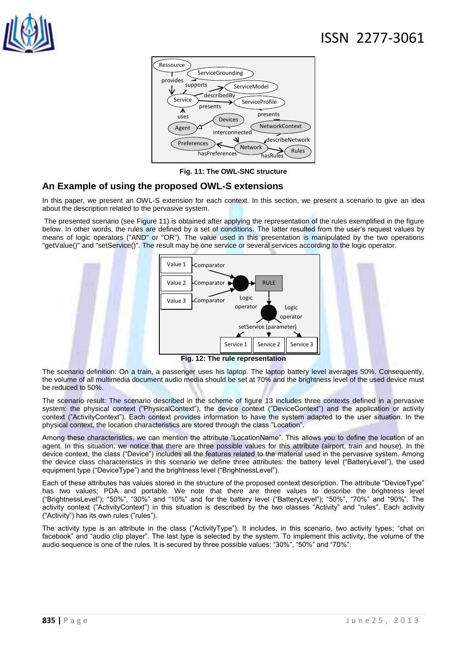



**Fig. 11: The OWL-SNC structure**

#### **An Example of using the proposed OWL-S extensions**

In this paper, we present an OWL-S extension for each context. In this section, we present a scenario to give an idea about the description related to the pervasive system.

The presented scenario (see Figure 11) is obtained after applying the representation of the rules exemplified in the figure below. In other words, the rules are defined by a set of conditions. The latter resulted from the user's request values by means of logic operators ("AND" or "OR"). The value used in this presentation is manipulated by the two operations "getValue()" and "setService()". The result may be one service or several services according to the logic operator.



The scenario definition: On a train, a passenger uses his laptop. The laptop battery level averages 50%. Consequently, the volume of all multimedia document audio media should be set at 70% and the brightness level of the used device must be reduced to 50%.

The scenario result: The scenario described in the scheme of figure 13 includes three contexts defined in a pervasive system: the physical context ("PhysicalContext"), the device context ("DeviceContext") and the application or activity context ("ActivityContext"). Each context provides information to have the system adapted to the user situation. In the physical context, the location characteristics are stored through the class "Location".

Among these characteristics, we can mention the attribute "LocationName". This allows you to define the location of an agent. In this situation, we notice that there are three possible values for this attribute (airport, train and house). In the device context, the class ("Device") includes all the features related to the material used in the pervasive system. Among the device class characteristics in this scenario we define three attributes: the battery level ("BatteryLevel"), the used equipment type ("DeviceType") and the brightness level ("BrightnessLevel").

Each of these attributes has values stored in the structure of the proposed context description. The attribute "DeviceType" has two values; PDA and portable. We note that there are three values to describe the brightness level ("BrightnessLevel"); "50%", "30%" and "10%" and for the battery level ("BatteryLevel"); "50%", "70%" and "90%". The activity context ("ActivityContext") in this situation is described by the two classes "Activity" and "rules". Each activity ("Activity") has its own rules ("rules").

The activity type is an attribute in the class ("ActivityType"). It includes, in this scenario, two activity types; "chat on facebook" and "audio clip player". The last type is selected by the system. To implement this activity, the volume of the audio sequence is one of the rules. It is secured by three possible values: "30%", "50%" and "70%".